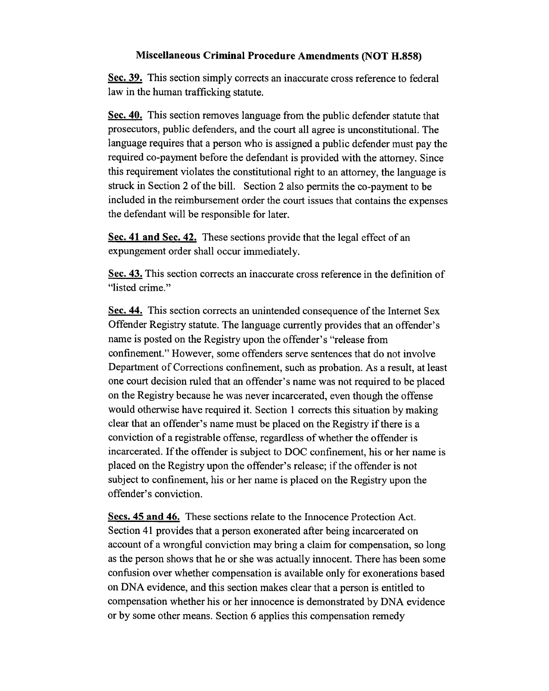### **Miscellaneous Criminal Procedure Amendments (NOT H.858)**

**Sec. 39.** This section simply corrects an inaccurate cross reference to federal law in the human trafficking statute.

**Sec. 40.** This section removes language from the public defender statute that prosecutors, public defenders, and the court all agree is unconstitutional. The language requires that a person who is assigned a public defender must pay the required co-payment before the defendant is provided with the attorney. Since this requirement violates the constitutional right to an attorney, the language is struck in Section 2 of the bill. Section 2 also permits the co-payment to be included in the reimbursement order the court issues that contains the expenses the defendant will be responsible for later.

**Sec. 41 and Sec. 42.** These sections provide that the legal effect of an expungement order shall occur immediately.

**Sec. 43.** This section corrects an inaccurate cross reference in the definition of "listed crime."

**Sec. 44.** This section corrects an unintended consequence of the Internet Sex Offender Registry statute. The language currently provides that an offender's name is posted on the Registry upon the offender's "release from confinement." However, some offenders serve sentences that do not involve Department of Corrections confinement, such as probation. As a result, at least one court decision ruled that an offender's name was not required to be placed on the Registry because he was never incarcerated, even though the offense would otherwise have required it. Section 1 corrects this situation by making clear that an offender's name must be placed on the Registry if there is a conviction of a registrable offense, regardless of whether the offender is incarcerated. If the offender is subject to DOC confinement, his or her name is placed on the Registry upon the offender's release; if the offender is not subject to confinement, his or her name is placed on the Registry upon the offender's conviction.

**Secs. 45 and 46.** These sections relate to the Innocence Protection Act. Section 41 provides that a person exonerated after being incarcerated on account of a wrongful conviction may bring a claim for compensation, so long as the person shows that he or she was actually innocent. There has been some confusion over whether compensation is available only for exonerations based on DNA evidence, and this section makes clear that a person is entitled to compensation whether his or her innocence is demonstrated by DNA evidence or by some other means. Section 6 applies this compensation remedy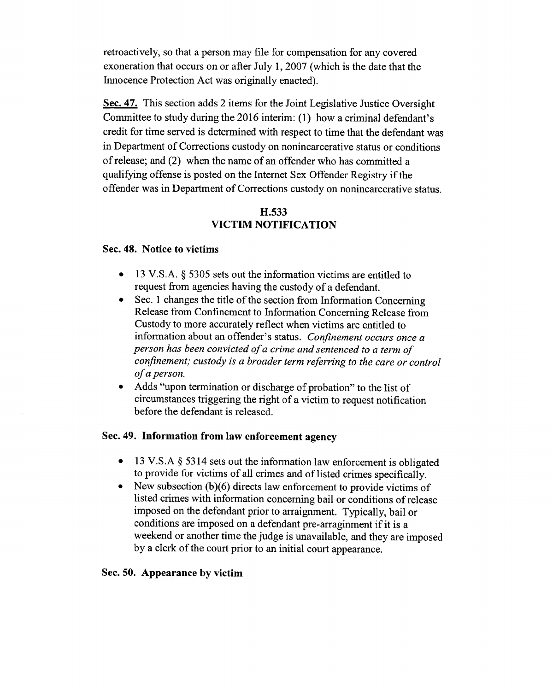retroactively, so that a person may file for compensation for any covered exoneration that occurs on or after July 1, 2007 (which is the date that the Innocence Protection Act was originally enacted).

**Sec. 47.** This section adds 2 items for the Joint Legislative Justice Oversight Committee to study during the 2016 interim: (1) how a criminal defendant's credit for time served is determined with respect to time that the defendant was in Department of Corrections custody on nonincarcerative status or conditions of release; and (2) when the name of an offender who has committed a qualifying offense is posted on the Internet Sex Offender Registry if the offender was in Department of Corrections custody on nonincarcerative status.

# **H.533 VICTIM NOTIFICATION**

### **Sec. 48. Notice to victims**

- 13 V.S.A. § 5305 sets out the information victims are entitled to request from agencies having the custody of a defendant.
- Sec. 1 changes the title of the section from Information Concerning Release from Confinement to Information Concerning Release from Custody to more accurately reflect when victims are entitled to information about an offender's status. *Confinement occurs once a person has been convicted of a crime and sentenced to a term of confinement; custody is a broader term referring to the care or control of a person.*
- Adds "upon termination or discharge of probation" to the list of circumstances triggering the right of a victim to request notification before the defendant is released.

## **Sec. 49. Information from law enforcement agency**

- 13 V.S.A § 5314 sets out the information law enforcement is obligated to provide for victims of all crimes and of listed crimes specifically.
- New subsection (b)(6) directs law enforcement to provide victims of listed crimes with information concerning bail or conditions of release imposed on the defendant prior to arraignment. Typically, bail or conditions are imposed on a defendant pre-arraginment if it is a weekend or another time the judge is unavailable, and they are imposed by a clerk of the court prior to an initial court appearance.

## **Sec. 50. Appearance by victim**